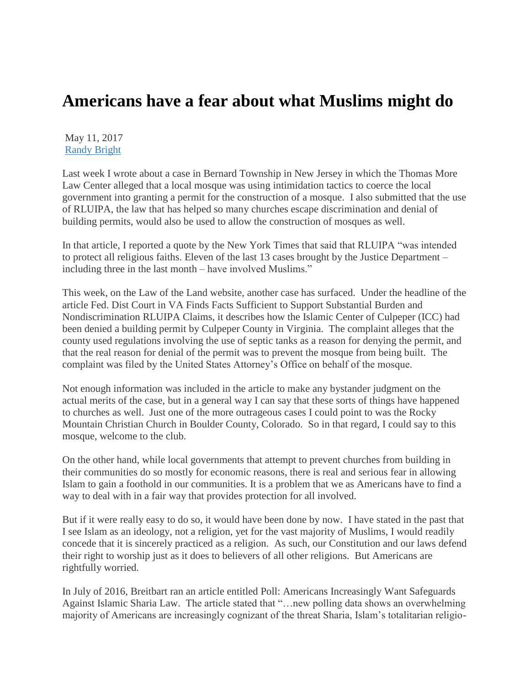## **Americans have a fear about what Muslims might do**

May 11, 2017 [Randy Bright](http://tulsabeacon.com/author/randy-bright/)

Last week I wrote about a case in Bernard Township in New Jersey in which the Thomas More Law Center alleged that a local mosque was using intimidation tactics to coerce the local government into granting a permit for the construction of a mosque. I also submitted that the use of RLUIPA, the law that has helped so many churches escape discrimination and denial of building permits, would also be used to allow the construction of mosques as well.

In that article, I reported a quote by the New York Times that said that RLUIPA "was intended to protect all religious faiths. Eleven of the last 13 cases brought by the Justice Department – including three in the last month – have involved Muslims."

This week, on the Law of the Land website, another case has surfaced. Under the headline of the article Fed. Dist Court in VA Finds Facts Sufficient to Support Substantial Burden and Nondiscrimination RLUIPA Claims, it describes how the Islamic Center of Culpeper (ICC) had been denied a building permit by Culpeper County in Virginia. The complaint alleges that the county used regulations involving the use of septic tanks as a reason for denying the permit, and that the real reason for denial of the permit was to prevent the mosque from being built. The complaint was filed by the United States Attorney"s Office on behalf of the mosque.

Not enough information was included in the article to make any bystander judgment on the actual merits of the case, but in a general way I can say that these sorts of things have happened to churches as well. Just one of the more outrageous cases I could point to was the Rocky Mountain Christian Church in Boulder County, Colorado. So in that regard, I could say to this mosque, welcome to the club.

On the other hand, while local governments that attempt to prevent churches from building in their communities do so mostly for economic reasons, there is real and serious fear in allowing Islam to gain a foothold in our communities. It is a problem that we as Americans have to find a way to deal with in a fair way that provides protection for all involved.

But if it were really easy to do so, it would have been done by now. I have stated in the past that I see Islam as an ideology, not a religion, yet for the vast majority of Muslims, I would readily concede that it is sincerely practiced as a religion. As such, our Constitution and our laws defend their right to worship just as it does to believers of all other religions. But Americans are rightfully worried.

In July of 2016, Breitbart ran an article entitled Poll: Americans Increasingly Want Safeguards Against Islamic Sharia Law. The article stated that "…new polling data shows an overwhelming majority of Americans are increasingly cognizant of the threat Sharia, Islam"s totalitarian religio-